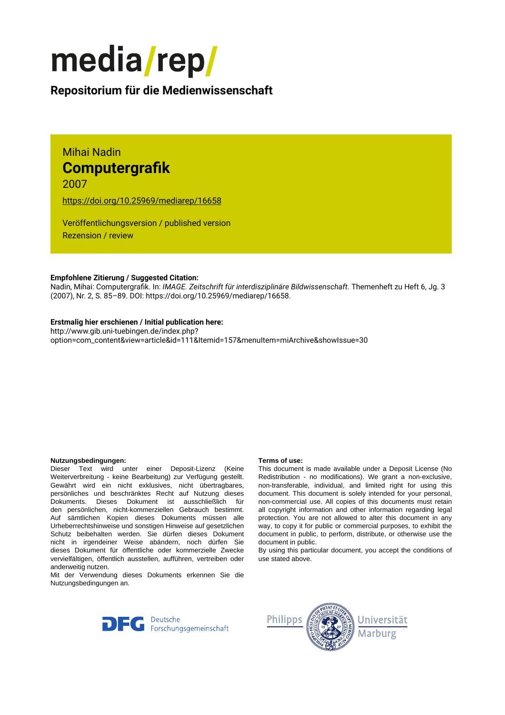

# **Repositorium für die [Medienwissenschaft](https://mediarep.org)**

# Mihai Nadin **Computergrafik** 2007

<https://doi.org/10.25969/mediarep/16658>

Veröffentlichungsversion / published version Rezension / review

## **Empfohlene Zitierung / Suggested Citation:**

Nadin, Mihai: Computergrafik. In: *IMAGE. Zeitschrift für interdisziplinäre Bildwissenschaft*. Themenheft zu Heft 6, Jg. 3 (2007), Nr. 2, S. 85–89. DOI: https://doi.org/10.25969/mediarep/16658.

## **Erstmalig hier erschienen / Initial publication here:**

http://www.gib.uni-tuebingen.de/index.php? option=com\_content&view=article&id=111&Itemid=157&menuItem=miArchive&showIssue=30

### **Nutzungsbedingungen: Terms of use:**

Dieser Text wird unter einer Deposit-Lizenz (Keine Weiterverbreitung - keine Bearbeitung) zur Verfügung gestellt. Gewährt wird ein nicht exklusives, nicht übertragbares, persönliches und beschränktes Recht auf Nutzung dieses Dokuments. Dieses Dokument ist ausschließlich für den persönlichen, nicht-kommerziellen Gebrauch bestimmt. Auf sämtlichen Kopien dieses Dokuments müssen alle Urheberrechtshinweise und sonstigen Hinweise auf gesetzlichen Schutz beibehalten werden. Sie dürfen dieses Dokument nicht in irgendeiner Weise abändern, noch dürfen Sie dieses Dokument für öffentliche oder kommerzielle Zwecke vervielfältigen, öffentlich ausstellen, aufführen, vertreiben oder anderweitig nutzen.

Mit der Verwendung dieses Dokuments erkennen Sie die Nutzungsbedingungen an.

This document is made available under a Deposit License (No Redistribution - no modifications). We grant a non-exclusive, non-transferable, individual, and limited right for using this document. This document is solely intended for your personal, non-commercial use. All copies of this documents must retain all copyright information and other information regarding legal protection. You are not allowed to alter this document in any way, to copy it for public or commercial purposes, to exhibit the document in public, to perform, distribute, or otherwise use the document in public.

By using this particular document, you accept the conditions of use stated above.



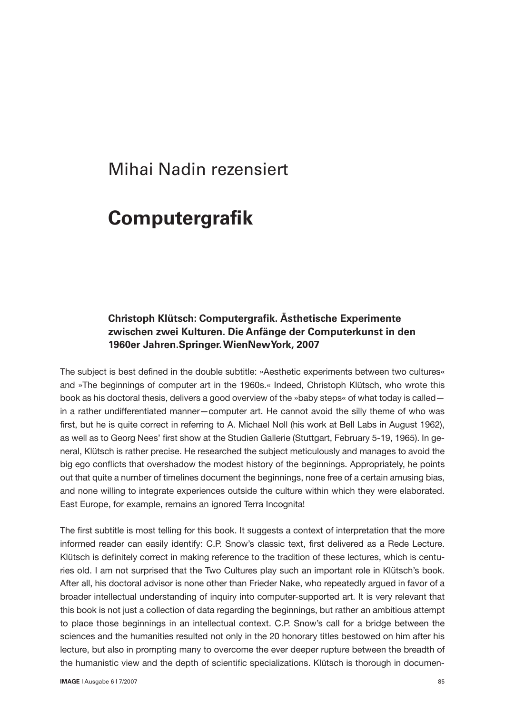# Mihai Nadin rezensiert

# **Computergrafik**

## **Christoph Klütsch: Computergrafik. Ästhetische Experimente zwischen zwei Kulturen. Die Anfänge der Computerkunst in den 1960er Jahren.Springer. WienNewYork, 2007**

The subject is best defined in the double subtitle: »Aesthetic experiments between two cultures« and »The beginnings of computer art in the 1960s.« Indeed, Christoph Klütsch, who wrote this book as his doctoral thesis, delivers a good overview of the »baby steps« of what today is called in a rather undifferentiated manner—computer art. He cannot avoid the silly theme of who was first, but he is quite correct in referring to A. Michael Noll (his work at Bell Labs in August 1962), as well as to Georg Nees' first show at the Studien Gallerie (Stuttgart, February 5-19, 1965). In general, Klütsch is rather precise. He researched the subject meticulously and manages to avoid the big ego conflicts that overshadow the modest history of the beginnings. Appropriately, he points out that quite a number of timelines document the beginnings, none free of a certain amusing bias, and none willing to integrate experiences outside the culture within which they were elaborated. East Europe, for example, remains an ignored Terra Incognita!

The first subtitle is most telling for this book. It suggests a context of interpretation that the more informed reader can easily identify: C.P. Snow's classic text, first delivered as a Rede Lecture. Klütsch is definitely correct in making reference to the tradition of these lectures, which is centuries old. I am not surprised that the Two Cultures play such an important role in Klütsch's book. After all, his doctoral advisor is none other than Frieder Nake, who repeatedly argued in favor of a broader intellectual understanding of inquiry into computer-supported art. It is very relevant that this book is not just a collection of data regarding the beginnings, but rather an ambitious attempt to place those beginnings in an intellectual context. C.P. Snow's call for a bridge between the sciences and the humanities resulted not only in the 20 honorary titles bestowed on him after his lecture, but also in prompting many to overcome the ever deeper rupture between the breadth of the humanistic view and the depth of scientific specializations. Klütsch is thorough in documen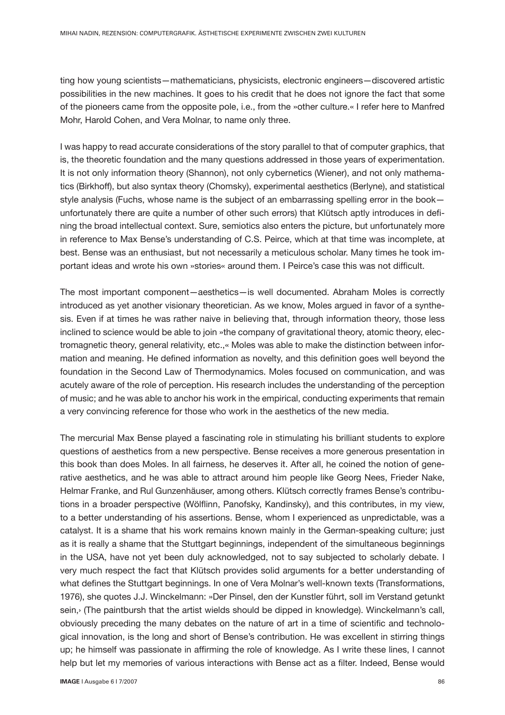ting how young scientists—mathematicians, physicists, electronic engineers—discovered artistic possibilities in the new machines. It goes to his credit that he does not ignore the fact that some of the pioneers came from the opposite pole, i.e., from the »other culture.« I refer here to Manfred Mohr, Harold Cohen, and Vera Molnar, to name only three.

I was happy to read accurate considerations of the story parallel to that of computer graphics, that is, the theoretic foundation and the many questions addressed in those years of experimentation. It is not only information theory (Shannon), not only cybernetics (Wiener), and not only mathematics (Birkhoff), but also syntax theory (Chomsky), experimental aesthetics (Berlyne), and statistical style analysis (Fuchs, whose name is the subject of an embarrassing spelling error in the book unfortunately there are quite a number of other such errors) that Klütsch aptly introduces in defining the broad intellectual context. Sure, semiotics also enters the picture, but unfortunately more in reference to Max Bense's understanding of C.S. Peirce, which at that time was incomplete, at best. Bense was an enthusiast, but not necessarily a meticulous scholar. Many times he took important ideas and wrote his own »stories« around them. I Peirce's case this was not difficult.

The most important component—aesthetics—is well documented. Abraham Moles is correctly introduced as yet another visionary theoretician. As we know, Moles argued in favor of a synthesis. Even if at times he was rather naive in believing that, through information theory, those less inclined to science would be able to join »the company of gravitational theory, atomic theory, electromagnetic theory, general relativity, etc.,« Moles was able to make the distinction between information and meaning. He defined information as novelty, and this definition goes well beyond the foundation in the Second Law of Thermodynamics. Moles focused on communication, and was acutely aware of the role of perception. His research includes the understanding of the perception of music; and he was able to anchor his work in the empirical, conducting experiments that remain a very convincing reference for those who work in the aesthetics of the new media.

The mercurial Max Bense played a fascinating role in stimulating his brilliant students to explore questions of aesthetics from a new perspective. Bense receives a more generous presentation in this book than does Moles. In all fairness, he deserves it. After all, he coined the notion of generative aesthetics, and he was able to attract around him people like Georg Nees, Frieder Nake, Helmar Franke, and Rul Gunzenhäuser, among others. Klütsch correctly frames Bense's contributions in a broader perspective (Wölflinn, Panofsky, Kandinsky), and this contributes, in my view, to a better understanding of his assertions. Bense, whom I experienced as unpredictable, was a catalyst. It is a shame that his work remains known mainly in the German-speaking culture; just as it is really a shame that the Stuttgart beginnings, independent of the simultaneous beginnings in the USA, have not yet been duly acknowledged, not to say subjected to scholarly debate. I very much respect the fact that Klütsch provides solid arguments for a better understanding of what defines the Stuttgart beginnings. In one of Vera Molnar's well-known texts (Transformations, 1976), she quotes J.J. Winckelmann: »Der Pinsel, den der Kunstler führt, soll im Verstand getunkt sein,› (The paintbursh that the artist wields should be dipped in knowledge). Winckelmann's call, obviously preceding the many debates on the nature of art in a time of scientific and technological innovation, is the long and short of Bense's contribution. He was excellent in stirring things up; he himself was passionate in affirming the role of knowledge. As I write these lines, I cannot help but let my memories of various interactions with Bense act as a filter. Indeed, Bense would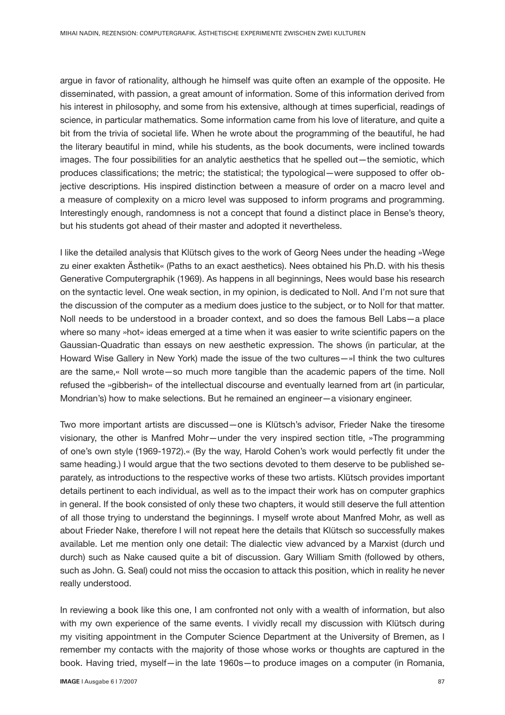argue in favor of rationality, although he himself was quite often an example of the opposite. He disseminated, with passion, a great amount of information. Some of this information derived from his interest in philosophy, and some from his extensive, although at times superficial, readings of science, in particular mathematics. Some information came from his love of literature, and quite a bit from the trivia of societal life. When he wrote about the programming of the beautiful, he had the literary beautiful in mind, while his students, as the book documents, were inclined towards images. The four possibilities for an analytic aesthetics that he spelled out—the semiotic, which produces classifications; the metric; the statistical; the typological—were supposed to offer objective descriptions. His inspired distinction between a measure of order on a macro level and a measure of complexity on a micro level was supposed to inform programs and programming. Interestingly enough, randomness is not a concept that found a distinct place in Bense's theory, but his students got ahead of their master and adopted it nevertheless.

I like the detailed analysis that Klütsch gives to the work of Georg Nees under the heading »Wege zu einer exakten Ästhetik« (Paths to an exact aesthetics). Nees obtained his Ph.D. with his thesis Generative Computergraphik (1969). As happens in all beginnings, Nees would base his research on the syntactic level. One weak section, in my opinion, is dedicated to Noll. And I'm not sure that the discussion of the computer as a medium does justice to the subject, or to Noll for that matter. Noll needs to be understood in a broader context, and so does the famous Bell Labs—a place where so many »hot« ideas emerged at a time when it was easier to write scientific papers on the Gaussian-Quadratic than essays on new aesthetic expression. The shows (in particular, at the Howard Wise Gallery in New York) made the issue of the two cultures—»I think the two cultures are the same,« Noll wrote—so much more tangible than the academic papers of the time. Noll refused the »gibberish« of the intellectual discourse and eventually learned from art (in particular, Mondrian's) how to make selections. But he remained an engineer—a visionary engineer.

Two more important artists are discussed—one is Klütsch's advisor, Frieder Nake the tiresome visionary, the other is Manfred Mohr—under the very inspired section title, »The programming of one's own style (1969-1972).« (By the way, Harold Cohen's work would perfectly fit under the same heading.) I would argue that the two sections devoted to them deserve to be published separately, as introductions to the respective works of these two artists. Klütsch provides important details pertinent to each individual, as well as to the impact their work has on computer graphics in general. If the book consisted of only these two chapters, it would still deserve the full attention of all those trying to understand the beginnings. I myself wrote about Manfred Mohr, as well as about Frieder Nake, therefore I will not repeat here the details that Klütsch so successfully makes available. Let me mention only one detail: The dialectic view advanced by a Marxist (durch und durch) such as Nake caused quite a bit of discussion. Gary William Smith (followed by others, such as John. G. Seal) could not miss the occasion to attack this position, which in reality he never really understood.

In reviewing a book like this one, I am confronted not only with a wealth of information, but also with my own experience of the same events. I vividly recall my discussion with Klütsch during my visiting appointment in the Computer Science Department at the University of Bremen, as I remember my contacts with the majority of those whose works or thoughts are captured in the book. Having tried, myself—in the late 1960s—to produce images on a computer (in Romania,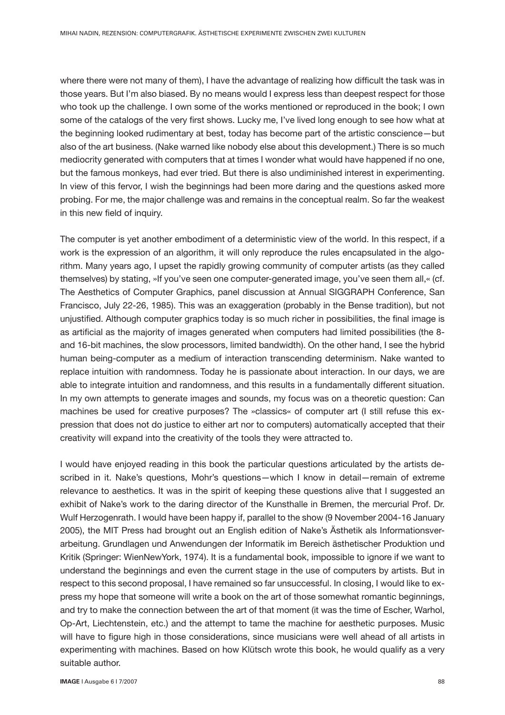where there were not many of them), I have the advantage of realizing how difficult the task was in those years. But I'm also biased. By no means would I express less than deepest respect for those who took up the challenge. I own some of the works mentioned or reproduced in the book; I own some of the catalogs of the very first shows. Lucky me, I've lived long enough to see how what at the beginning looked rudimentary at best, today has become part of the artistic conscience—but also of the art business. (Nake warned like nobody else about this development.) There is so much mediocrity generated with computers that at times I wonder what would have happened if no one, but the famous monkeys, had ever tried. But there is also undiminished interest in experimenting. In view of this fervor, I wish the beginnings had been more daring and the questions asked more probing. For me, the major challenge was and remains in the conceptual realm. So far the weakest in this new field of inquiry.

The computer is yet another embodiment of a deterministic view of the world. In this respect, if a work is the expression of an algorithm, it will only reproduce the rules encapsulated in the algorithm. Many years ago, I upset the rapidly growing community of computer artists (as they called themselves) by stating, »If you've seen one computer-generated image, you've seen them all,« (cf. The Aesthetics of Computer Graphics, panel discussion at Annual SIGGRAPH Conference, San Francisco, July 22-26, 1985). This was an exaggeration (probably in the Bense tradition), but not unjustified. Although computer graphics today is so much richer in possibilities, the final image is as artificial as the majority of images generated when computers had limited possibilities (the 8 and 16-bit machines, the slow processors, limited bandwidth). On the other hand, I see the hybrid human being-computer as a medium of interaction transcending determinism. Nake wanted to replace intuition with randomness. Today he is passionate about interaction. In our days, we are able to integrate intuition and randomness, and this results in a fundamentally different situation. In my own attempts to generate images and sounds, my focus was on a theoretic question: Can machines be used for creative purposes? The »classics« of computer art (I still refuse this expression that does not do justice to either art nor to computers) automatically accepted that their creativity will expand into the creativity of the tools they were attracted to.

I would have enjoyed reading in this book the particular questions articulated by the artists described in it. Nake's questions, Mohr's questions—which I know in detail—remain of extreme relevance to aesthetics. It was in the spirit of keeping these questions alive that I suggested an exhibit of Nake's work to the daring director of the Kunsthalle in Bremen, the mercurial Prof. Dr. Wulf Herzogenrath. I would have been happy if, parallel to the show (9 November 2004-16 January 2005), the MIT Press had brought out an English edition of Nake's Ästhetik als Informationsverarbeitung. Grundlagen und Anwendungen der Informatik im Bereich ästhetischer Produktion und Kritik (Springer: WienNewYork, 1974). It is a fundamental book, impossible to ignore if we want to understand the beginnings and even the current stage in the use of computers by artists. But in respect to this second proposal, I have remained so far unsuccessful. In closing, I would like to express my hope that someone will write a book on the art of those somewhat romantic beginnings, and try to make the connection between the art of that moment (it was the time of Escher, Warhol, Op-Art, Liechtenstein, etc.) and the attempt to tame the machine for aesthetic purposes. Music will have to figure high in those considerations, since musicians were well ahead of all artists in experimenting with machines. Based on how Klütsch wrote this book, he would qualify as a very suitable author.